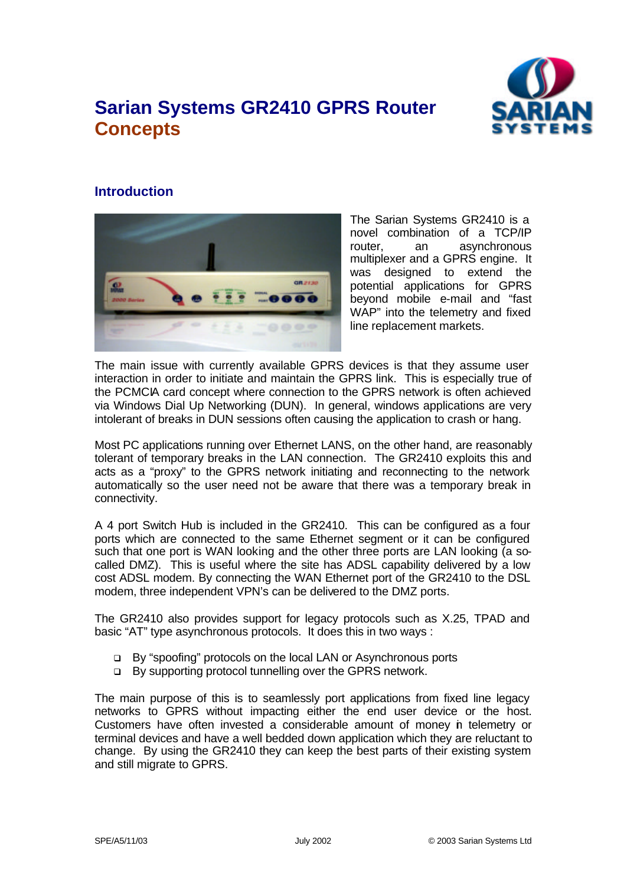# **Sarian Systems GR2410 GPRS Router Concepts**



# **Introduction**



The Sarian Systems GR2410 is a novel combination of a TCP/IP router, an asynchronous multiplexer and a GPRS engine. It was designed to extend the potential applications for GPRS beyond mobile e-mail and "fast WAP" into the telemetry and fixed line replacement markets.

The main issue with currently available GPRS devices is that they assume user interaction in order to initiate and maintain the GPRS link. This is especially true of the PCMCIA card concept where connection to the GPRS network is often achieved via Windows Dial Up Networking (DUN). In general, windows applications are very intolerant of breaks in DUN sessions often causing the application to crash or hang.

Most PC applications running over Ethernet LANS, on the other hand, are reasonably tolerant of temporary breaks in the LAN connection. The GR2410 exploits this and acts as a "proxy" to the GPRS network initiating and reconnecting to the network automatically so the user need not be aware that there was a temporary break in connectivity.

A 4 port Switch Hub is included in the GR2410. This can be configured as a four ports which are connected to the same Ethernet segment or it can be configured such that one port is WAN looking and the other three ports are LAN looking (a socalled DMZ). This is useful where the site has ADSL capability delivered by a low cost ADSL modem. By connecting the WAN Ethernet port of the GR2410 to the DSL modem, three independent VPN's can be delivered to the DMZ ports.

The GR2410 also provides support for legacy protocols such as X.25, TPAD and basic "AT" type asynchronous protocols. It does this in two ways :

- q By "spoofing" protocols on the local LAN or Asynchronous ports
- q By supporting protocol tunnelling over the GPRS network.

The main purpose of this is to seamlessly port applications from fixed line legacy networks to GPRS without impacting either the end user device or the host. Customers have often invested a considerable amount of money in telemetry or terminal devices and have a well bedded down application which they are reluctant to change. By using the GR2410 they can keep the best parts of their existing system and still migrate to GPRS.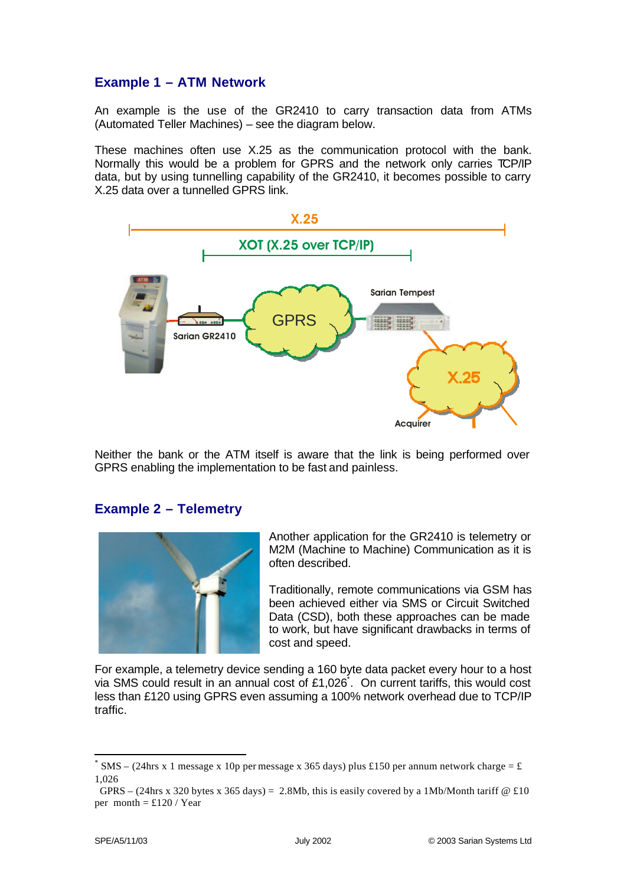# **Example 1 – ATM Network**

An example is the use of the GR2410 to carry transaction data from ATMs (Automated Teller Machines) – see the diagram below.

These machines often use X.25 as the communication protocol with the bank. Normally this would be a problem for GPRS and the network only carries TCP/IP data, but by using tunnelling capability of the GR2410, it becomes possible to carry X.25 data over a tunnelled GPRS link.



Neither the bank or the ATM itself is aware that the link is being performed over GPRS enabling the implementation to be fast and painless.

### **Example 2 – Telemetry**



Another application for the GR2410 is telemetry or M2M (Machine to Machine) Communication as it is often described.

Traditionally, remote communications via GSM has been achieved either via SMS or Circuit Switched Data (CSD), both these approaches can be made to work, but have significant drawbacks in terms of cost and speed.

For example, a telemetry device sending a 160 byte data packet every hour to a host via SMS could result in an annual cost of £1,026\* . On current tariffs, this would cost less than £120 using GPRS even assuming a 100% network overhead due to TCP/IP traffic.

l

<sup>\*</sup> SMS – (24hrs x 1 message x 10p per message x 365 days) plus £150 per annum network charge = £ 1,026

GPRS – (24hrs x 320 bytes x 365 days) = 2.8Mb, this is easily covered by a 1Mb/Month tariff  $\Phi$  £10 per month =  $£120 / Year$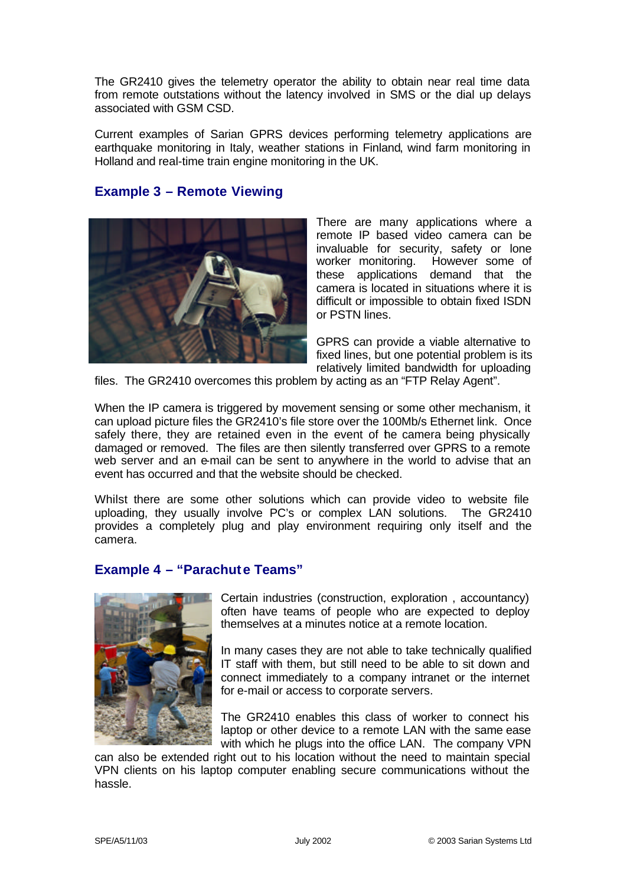The GR2410 gives the telemetry operator the ability to obtain near real time data from remote outstations without the latency involved in SMS or the dial up delays associated with GSM CSD.

Current examples of Sarian GPRS devices performing telemetry applications are earthquake monitoring in Italy, weather stations in Finland, wind farm monitoring in Holland and real-time train engine monitoring in the UK.

### **Example 3 – Remote Viewing**



There are many applications where a remote IP based video camera can be invaluable for security, safety or lone worker monitoring. However some of these applications demand that the camera is located in situations where it is difficult or impossible to obtain fixed ISDN or PSTN lines.

GPRS can provide a viable alternative to fixed lines, but one potential problem is its relatively limited bandwidth for uploading

files. The GR2410 overcomes this problem by acting as an "FTP Relay Agent".

When the IP camera is triggered by movement sensing or some other mechanism, it can upload picture files the GR2410's file store over the 100Mb/s Ethernet link. Once safely there, they are retained even in the event of the camera being physically damaged or removed. The files are then silently transferred over GPRS to a remote web server and an e-mail can be sent to anywhere in the world to advise that an event has occurred and that the website should be checked.

Whilst there are some other solutions which can provide video to website file uploading, they usually involve PC's or complex LAN solutions. The GR2410 provides a completely plug and play environment requiring only itself and the camera.

#### **Example 4 – "Parachute Teams"**



Certain industries (construction, exploration , accountancy) often have teams of people who are expected to deploy themselves at a minutes notice at a remote location.

In many cases they are not able to take technically qualified IT staff with them, but still need to be able to sit down and connect immediately to a company intranet or the internet for e-mail or access to corporate servers.

The GR2410 enables this class of worker to connect his laptop or other device to a remote LAN with the same ease with which he plugs into the office LAN. The company VPN

can also be extended right out to his location without the need to maintain special VPN clients on his laptop computer enabling secure communications without the hassle.